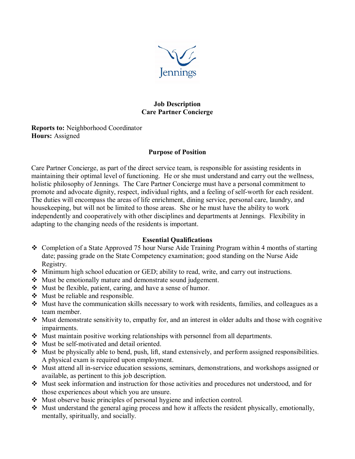

## **Job Description Care Partner Concierge**

## **Reports to:** Neighborhood Coordinator **Hours:** Assigned

## **Purpose of Position**

Care Partner Concierge, as part of the direct service team, is responsible for assisting residents in maintaining their optimal level of functioning. He or she must understand and carry out the wellness, holistic philosophy of Jennings. The Care Partner Concierge must have a personal commitment to promote and advocate dignity, respect, individual rights, and a feeling of self-worth for each resident. The duties will encompass the areas of life enrichment, dining service, personal care, laundry, and housekeeping, but will not be limited to those areas. She or he must have the ability to work independently and cooperatively with other disciplines and departments at Jennings. Flexibility in adapting to the changing needs of the residents is important.

#### **Essential Qualifications**

- Completion of a State Approved 75 hour Nurse Aide Training Program within 4 months of starting date; passing grade on the State Competency examination; good standing on the Nurse Aide Registry.
- $\lozenge$  Minimum high school education or GED; ability to read, write, and carry out instructions.
- ◆ Must be emotionally mature and demonstrate sound judgement.
- $\triangleleft$  Must be flexible, patient, caring, and have a sense of humor.
- $\triangleleft$  Must be reliable and responsible.
- $\hat{\mathbf{v}}$  Must have the communication skills necessary to work with residents, families, and colleagues as a team member.
- $\bullet$  Must demonstrate sensitivity to, empathy for, and an interest in older adults and those with cognitive impairments.
- Must maintain positive working relationships with personnel from all departments.
- Must be self-motivated and detail oriented.
- Must be physically able to bend, push, lift, stand extensively, and perform assigned responsibilities. A physical exam is required upon employment.
- Must attend all in-service education sessions, seminars, demonstrations, and workshops assigned or available, as pertinent to this job description.
- Must seek information and instruction for those activities and procedures not understood, and for those experiences about which you are unsure.
- Must observe basic principles of personal hygiene and infection control.
- $\bullet$  Must understand the general aging process and how it affects the resident physically, emotionally, mentally, spiritually, and socially.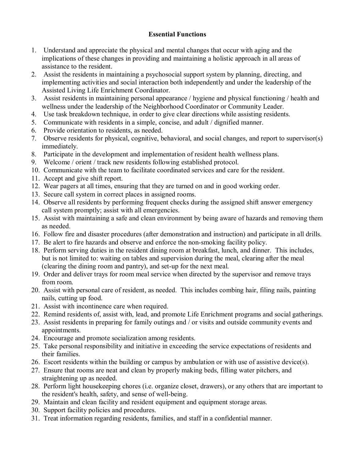# **Essential Functions**

- 1. Understand and appreciate the physical and mental changes that occur with aging and the implications of these changes in providing and maintaining a holistic approach in all areas of assistance to the resident.
- 2. Assist the residents in maintaining a psychosocial support system by planning, directing, and implementing activities and social interaction both independently and under the leadership of the Assisted Living Life Enrichment Coordinator.
- 3. Assist residents in maintaining personal appearance / hygiene and physical functioning / health and wellness under the leadership of the Neighborhood Coordinator or Community Leader.
- 4. Use task breakdown technique, in order to give clear directions while assisting residents.
- 5. Communicate with residents in a simple, concise, and adult / dignified manner.
- 6. Provide orientation to residents, as needed.
- 7. Observe residents for physical, cognitive, behavioral, and social changes, and report to supervisor(s) immediately.
- 8. Participate in the development and implementation of resident health wellness plans.
- 9. Welcome / orient / track new residents following established protocol.
- 10. Communicate with the team to facilitate coordinated services and care for the resident.
- 11. Accept and give shift report.
- 12. Wear pagers at all times, ensuring that they are turned on and in good working order.
- 13. Secure call system in correct places in assigned rooms.
- 14. Observe all residents by performing frequent checks during the assigned shift answer emergency call system promptly; assist with all emergencies.
- 15. Assist with maintaining a safe and clean environment by being aware of hazards and removing them as needed.
- 16. Follow fire and disaster procedures (after demonstration and instruction) and participate in all drills.
- 17. Be alert to fire hazards and observe and enforce the non-smoking facility policy.
- 18. Perform serving duties in the resident dining room at breakfast, lunch, and dinner. This includes, but is not limited to: waiting on tables and supervision during the meal, clearing after the meal (clearing the dining room and pantry), and set-up for the next meal.
- 19. Order and deliver trays for room meal service when directed by the supervisor and remove trays from room.
- 20. Assist with personal care of resident, as needed. This includes combing hair, filing nails, painting nails, cutting up food.
- 21. Assist with incontinence care when required.
- 22. Remind residents of, assist with, lead, and promote Life Enrichment programs and social gatherings.
- 23. Assist residents in preparing for family outings and / or visits and outside community events and appointments.
- 24. Encourage and promote socialization among residents.
- 25. Take personal responsibility and initiative in exceeding the service expectations of residents and their families.
- 26. Escort residents within the building or campus by ambulation or with use of assistive device(s).
- 27. Ensure that rooms are neat and clean by properly making beds, filling water pitchers, and straightening up as needed.
- 28. Perform light housekeeping chores (i.e. organize closet, drawers), or any others that are important to the resident's health, safety, and sense of well-being.
- 29. Maintain and clean facility and resident equipment and equipment storage areas.
- 30. Support facility policies and procedures.
- 31. Treat information regarding residents, families, and staff in a confidential manner.